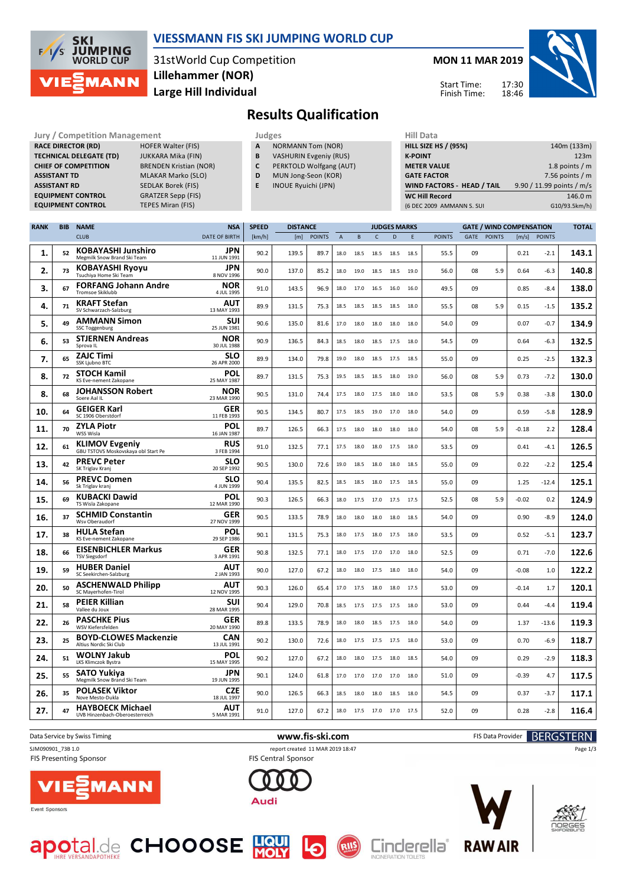

### **VIESSMANN FIS SKI JUMPING WORLD CUP**

31stWorld Cup Competition **Large Hill Individual Lillehammer (NOR)**

#### **MON 11 MAR 2019**

Start Time: Finish Time:



# **Results Qualification**

**Jury / Competition Management development development of the Judges of American Hill Data RACE DIRECTOR (RD) HOFER Walter (FIS) TECHNICAL DELEGATE (TD)** JUKKARA Mika (FIN) **CHIEF OF COMPETITION** BRENDEN Kristian (NOR) **ASSISTANT TD** MLAKAR Marko (SLO) **ASSISTANT RD** SEDLAK Borek (FIS)<br>**EQUIPMENT CONTROL** GRATZER Sepp (FIS) **EQUIPMENT CONTROL EQUIPMENT CONTROL TEPES Miran (FIS)** 

- **A** NORMANN Tom (NOR)
- **B** VASHURIN Evgeniy (RUS)
- **C** PERKTOLD Wolfgang (AUT)
- **D** MUN Jong-Seon (KOR)
- **E** INOUE Ryuichi (JPN)

| niil Data                   |                           |
|-----------------------------|---------------------------|
| <b>HILL SIZE HS / (95%)</b> | 140m (133m)               |
| <b>K-POINT</b>              | 123m                      |
| <b>METER VALUE</b>          | 1.8 points $/m$           |
| <b>GATE FACTOR</b>          | 7.56 points $/m$          |
| WIND FACTORS - HEAD / TAIL  | 9.90 / 11.99 points / m/s |
| <b>WC Hill Record</b>       | 146.0 m                   |
| (6 DEC 2009 AMMANN S. SUI   | G10/93.5km/h)             |
|                             |                           |

|     |    |                                                              |                           |        |       |               |                |           | <b>JUDGES MARKS</b> |      |      |               |      | <b>GATE / WIND COMPENSATION</b> |         |               | <b>TOTAL</b> |
|-----|----|--------------------------------------------------------------|---------------------------|--------|-------|---------------|----------------|-----------|---------------------|------|------|---------------|------|---------------------------------|---------|---------------|--------------|
|     |    | <b>CLUB</b>                                                  | <b>DATE OF BIRTH</b>      | [km/h] | [m]   | <b>POINTS</b> | $\overline{A}$ | B         | $\mathsf{C}$        | D    | E    | <b>POINTS</b> | GATE | <b>POINTS</b>                   | [m/s]   | <b>POINTS</b> |              |
| 1.  | 52 | <b>KOBAYASHI Junshiro</b><br>Megmilk Snow Brand Ski Team     | JPN<br>11 JUN 1991        | 90.2   | 139.5 | 89.7          | 18.0           | 18.5      | 18.5                | 18.5 | 18.5 | 55.5          | 09   |                                 | 0.21    | $-2.1$        | 143.1        |
| 2.  | 73 | <b>KOBAYASHI Ryoyu</b><br>Tsuchiya Home Ski Team             | JPN<br>8 NOV 1996         | 90.0   | 137.0 | 85.2          | 18.0           | 19.0      | 18.5                | 18.5 | 19.0 | 56.0          | 08   | 5.9                             | 0.64    | -6.3          | 140.8        |
| з.  | 67 | <b>FORFANG Johann Andre</b><br><b>Tromsoe Skiklubb</b>       | NOR<br>4 JUL 1995         | 91.0   | 143.5 | 96.9          | 18.0           | 17.0      | 16.5                | 16.0 | 16.0 | 49.5          | 09   |                                 | 0.85    | $-8.4$        | 138.0        |
| 4.  | 71 | <b>KRAFT Stefan</b><br>SV Schwarzach-Salzburg                | AUT<br>13 MAY 1993        | 89.9   | 131.5 | 75.3          | 18.5           | 18.5      | 18.5                | 18.5 | 18.0 | 55.5          | 08   | 5.9                             | 0.15    | $-1.5$        | 135.2        |
| 5.  | 49 | <b>AMMANN Simon</b><br>SSC Toggenburg                        | SUI<br>25 JUN 1981        | 90.6   | 135.0 | 81.6          | 17.0           | 18.0      | 18.0                | 18.0 | 18.0 | 54.0          | 09   |                                 | 0.07    | $-0.7$        | 134.9        |
| 6.  | 53 | <b>STJERNEN Andreas</b><br>Sprova IL                         | NOR<br>30 JUL 1988        | 90.9   | 136.5 | 84.3          | 18.5           | 18.0      | 18.5                | 17.5 | 18.0 | 54.5          | 09   |                                 | 0.64    | -6.3          | 132.5        |
| 7.  | 65 | <b>ZAJC Timi</b><br>SSK Ljubno BTC                           | SLO<br>26 APR 2000        | 89.9   | 134.0 | 79.8          | 19.0           | 18.0      | 18.5                | 17.5 | 18.5 | 55.0          | 09   |                                 | 0.25    | $-2.5$        | 132.3        |
| 8.  | 72 | <b>STOCH Kamil</b><br>KS Eve-nement Zakopane                 | POL<br>25 MAY 1987        | 89.7   | 131.5 | 75.3          | 19.5           | 18.5      | 18.5                | 18.0 | 19.0 | 56.0          | 08   | 5.9                             | 0.73    | $-7.2$        | 130.0        |
| 8.  | 68 | <b>JOHANSSON Robert</b><br>Soere Aal IL                      | NOR<br>23 MAR 1990        | 90.5   | 131.0 | 74.4          | 17.5           | 18.0      | 17.5                | 18.0 | 18.0 | 53.5          | 08   | 5.9                             | 0.38    | $-3.8$        | 130.0        |
| 10. | 64 | <b>GEIGER Karl</b><br>SC 1906 Oberstdorf                     | GER<br>11 FEB 1993        | 90.5   | 134.5 | 80.7          | 17.5           | 18.5      | 19.0                | 17.0 | 18.0 | 54.0          | 09   |                                 | 0.59    | $-5.8$        | 128.9        |
| 11. | 70 | <b>ZYLA Piotr</b><br>WSS Wisla                               | POL<br>16 JAN 1987        | 89.7   | 126.5 | 66.3          | 17.5           | 18.0      | 18.0                | 18.0 | 18.0 | 54.0          | 08   | 5.9                             | $-0.18$ | 2.2           | 128.4        |
| 12. | 61 | <b>KLIMOV Evgeniy</b><br>GBU TSTOVS Moskovskaya obl Start Pe | <b>RUS</b><br>3 FEB 1994  | 91.0   | 132.5 | 77.1          | 17.5           | 18.0      | 18.0 17.5           |      | 18.0 | 53.5          | 09   |                                 | 0.41    | $-4.1$        | 126.5        |
| 13. | 42 | <b>PREVC Peter</b><br>SK Triglav Kranj                       | <b>SLO</b><br>20 SEP 1992 | 90.5   | 130.0 | 72.6          | 19.0           | 18.5      | 18.0                | 18.0 | 18.5 | 55.0          | 09   |                                 | 0.22    | $-2.2$        | 125.4        |
| 14. | 56 | <b>PREVC Domen</b><br>Sk Triglav kranj                       | <b>SLO</b><br>4 JUN 1999  | 90.4   | 135.5 | 82.5          | 18.5           | 18.5      | 18.0                | 17.5 | 18.5 | 55.0          | 09   |                                 | 1.25    | $-12.4$       | 125.1        |
| 15. | 69 | <b>KUBACKI Dawid</b><br>TS Wisla Zakopane                    | POL<br>12 MAR 1990        | 90.3   | 126.5 | 66.3          | 18.0           |           | 17.5 17.0           | 17.5 | 17.5 | 52.5          | 08   | 5.9                             | $-0.02$ | 0.2           | 124.9        |
| 16. | 37 | <b>SCHMID Constantin</b><br>Wsv Oberaudorf                   | GER<br>27 NOV 1999        | 90.5   | 133.5 | 78.9          | 18.0           | 18.0      | 18.0                | 18.0 | 18.5 | 54.0          | 09   |                                 | 0.90    | $-8.9$        | 124.0        |
| 17. | 38 | <b>HULA Stefan</b><br>KS Eve-nement Zakopane                 | POL<br>29 SEP 1986        | 90.1   | 131.5 | 75.3          | 18.0           | 17.5      | 18.0                | 17.5 | 18.0 | 53.5          | 09   |                                 | 0.52    | $-5.1$        | 123.7        |
| 18. | 66 | <b>EISENBICHLER Markus</b><br><b>TSV Siegsdorf</b>           | GER<br>3 APR 1991         | 90.8   | 132.5 | 77.1          | 18.0           | 17.5      | 17.0                | 17.0 | 18.0 | 52.5          | 09   |                                 | 0.71    | $-7.0$        | 122.6        |
| 19. | 59 | <b>HUBER Daniel</b><br>SC Seekirchen-Salzburg                | <b>AUT</b><br>2 JAN 1993  | 90.0   | 127.0 | 67.2          | 18.0           | 18.0      | 17.5                | 18.0 | 18.0 | 54.0          | 09   |                                 | $-0.08$ | 1.0           | 122.2        |
| 20. | 50 | <b>ASCHENWALD Philipp</b><br>SC Mayerhofen-Tirol             | AUT<br>12 NOV 1995        | 90.3   | 126.0 | 65.4          | 17.0           | 17.5      | 18.0                | 18.0 | 17.5 | 53.0          | 09   |                                 | $-0.14$ | 1.7           | 120.1        |
| 21. | 58 | <b>PEIER Killian</b><br>Vallee du Joux                       | SUI<br>28 MAR 1995        | 90.4   | 129.0 | 70.8          | 18.5           | 17.5 17.5 |                     | 17.5 | 18.0 | 53.0          | 09   |                                 | 0.44    | $-4.4$        | 119.4        |
| 22. | 26 | <b>PASCHKE Pius</b><br>WSV Kiefersfelden                     | <b>GER</b><br>20 MAY 1990 | 89.8   | 133.5 | 78.9          | 18.0           | 18.0      | 18.5                | 17.5 | 18.0 | 54.0          | 09   |                                 | 1.37    | $-13.6$       | 119.3        |
| 23. | 25 | <b>BOYD-CLOWES Mackenzie</b><br>Altius Nordic Ski Club       | <b>CAN</b><br>13 JUL 1991 | 90.2   | 130.0 | 72.6          | 18.0           |           | 17.5 17.5           | 17.5 | 18.0 | 53.0          | 09   |                                 | 0.70    | $-6.9$        | 118.7        |
| 24. | 51 | <b>WOLNY Jakub</b><br>LKS Klimczok Bystra                    | POL<br>15 MAY 1995        | 90.2   | 127.0 | 67.2          | 18.0           | 18.0      | 17.5                | 18.0 | 18.5 | 54.0          | 09   |                                 | 0.29    | $-2.9$        | 118.3        |
| 25. | 55 | <b>SATO Yukiya</b><br>Megmilk Snow Brand Ski Team            | JPN<br>19 JUN 1995        | 90.1   | 124.0 | 61.8          | 17.0           | 17.0      | 17.0                | 17.0 | 18.0 | 51.0          | 09   |                                 | $-0.39$ | 4.7           | 117.5        |
| 26. | 35 | <b>POLASEK Viktor</b><br>Nove Mesto-Dukla                    | <b>CZE</b><br>18 JUL 1997 | 90.0   | 126.5 | 66.3          | 18.5           | 18.0      | 18.0                | 18.5 | 18.0 | 54.5          | 09   |                                 | 0.37    | $-3.7$        | 117.1        |
| 27. | 47 | <b>HAYBOECK Michael</b><br>UVB Hinzenbach-Oberoesterreich    | AUT<br>5 MAR 1991         | 91.0   | 127.0 | 67.2          | 18.0           | 17.5 17.0 |                     | 17.0 | 17.5 | 52.0          | 09   |                                 | 0.28    | $-2.8$        | 116.4        |

**FIS Presenting Sponsor** 



Audi



Event Sponsors







Page 1/3





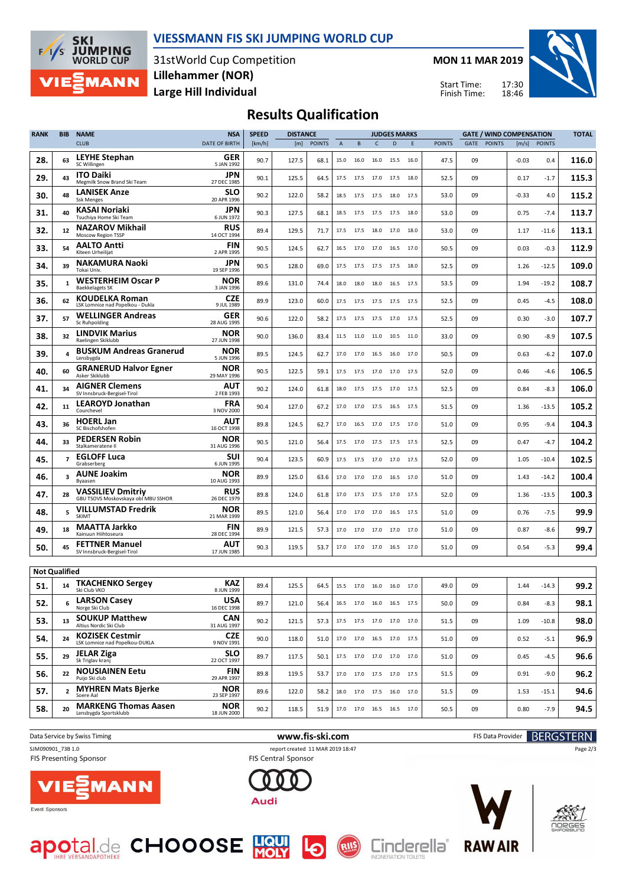

#### **VIESSMANN FIS SKI JUMPING WORLD CUP**

31stWorld Cup Competition **Large Hill Individual Lillehammer (NOR)**

**MON 11 MAR 2019**

Start Time: Finish Time:



## **Results Qualification**

| <b>RANK</b>          | <b>BIB</b>              | <b>NAME</b>                                                     | <b>NSA</b>                | <b>SPEED</b> | <b>DISTANCE</b> |               |                |                     |                | <b>JUDGES MARKS</b>      |      |               |      | <b>GATE / WIND COMPENSATION</b> |         | <b>TOTAL</b>  |       |
|----------------------|-------------------------|-----------------------------------------------------------------|---------------------------|--------------|-----------------|---------------|----------------|---------------------|----------------|--------------------------|------|---------------|------|---------------------------------|---------|---------------|-------|
|                      |                         | <b>CLUB</b>                                                     | <b>DATE OF BIRTH</b>      | [km/h]       | [m]             | <b>POINTS</b> | $\overline{A}$ | B                   | $\mathsf{C}$   | D                        | E    | <b>POINTS</b> | GATE | <b>POINTS</b>                   | [m/s]   | <b>POINTS</b> |       |
| 28.                  | 63                      | <b>LEYHE Stephan</b><br>SC Willingen                            | GER<br>5 JAN 1992         | 90.7         | 127.5           | 68.1          | 15.0           | 16.0                | 16.0           | 15.5                     | 16.0 | 47.5          | 09   |                                 | $-0.03$ | 0.4           | 116.0 |
| 29.                  | 43                      | <b>ITO Daiki</b><br>Megmilk Snow Brand Ski Team                 | JPN<br>27 DEC 1985        | 90.1         | 125.5           | 64.5          | 17.5           | 17.5                | 17.0           | 17.5                     | 18.0 | 52.5          | 09   |                                 | 0.17    | $-1.7$        | 115.3 |
| 30.                  | 48                      | <b>LANISEK Anze</b><br><b>Ssk Menges</b>                        | <b>SLO</b><br>20 APR 1996 | 90.2         | 122.0           | 58.2          | 18.5           | 17.5                | 17.5           | 18.0                     | 17.5 | 53.0          | 09   |                                 | $-0.33$ | 4.0           | 115.2 |
| 31.                  | 40                      | KASAI Noriaki<br>Tsuchiya Home Ski Team                         | JPN<br>6 JUN 1972         | 90.3         | 127.5           | 68.1          | 18.5           |                     | 17.5 17.5 17.5 |                          | 18.0 | 53.0          | 09   |                                 | 0.75    | $-7.4$        | 113.7 |
| 32.                  | 12                      | <b>NAZAROV Mikhail</b><br>Moscow Region TSSP                    | <b>RUS</b><br>14 OCT 1994 | 89.4         | 129.5           | 71.7          | 17.5           | 17.5                | 18.0           | 17.0                     | 18.0 | 53.0          | 09   |                                 | 1.17    | $-11.6$       | 113.1 |
| 33.                  | 54                      | <b>AALTO Antti</b><br>Kiteen Urheilijat                         | <b>FIN</b><br>2 APR 1995  | 90.5         | 124.5           | 62.7          | 16.5           | 17.0 17.0           |                | 16.5                     | 17.0 | 50.5          | 09   |                                 | 0.03    | $-0.3$        | 112.9 |
| 34.                  | 39                      | <b>NAKAMURA Naoki</b><br>Tokai Univ.                            | <b>JPN</b><br>19 SEP 1996 | 90.5         | 128.0           | 69.0          | 17.5           | 17.5                | 17.5           | 17.5                     | 18.0 | 52.5          | 09   |                                 | 1.26    | $-12.5$       | 109.0 |
| 35.                  | 1                       | <b>WESTERHEIM Oscar P</b><br><b>Baekkelagets SK</b>             | NOR<br>3 JAN 1996         | 89.6         | 131.0           | 74.4          | 18.0           | 18.0                | 18.0           | 16.5                     | 17.5 | 53.5          | 09   |                                 | 1.94    | $-19.2$       | 108.7 |
| 36.                  | 62                      | <b>KOUDELKA Roman</b><br>LSK Lomnice nad Popelkou - Dukla       | <b>CZE</b><br>9 JUL 1989  | 89.9         | 123.0           | 60.0          | 17.5           | 17.5 17.5 17.5      |                |                          | 17.5 | 52.5          | 09   |                                 | 0.45    | $-4.5$        | 108.0 |
| 37.                  | 57                      | <b>WELLINGER Andreas</b><br>Sc Ruhpolding                       | GER<br>28 AUG 1995        | 90.6         | 122.0           | 58.2          | 17.5           | 17.5 17.5           |                | 17.0                     | 17.5 | 52.5          | 09   |                                 | 0.30    | $-3.0$        | 107.7 |
| 38.                  | 32                      | <b>LINDVIK Marius</b><br>Raelingen Skiklubb                     | NOR<br>27 JUN 1998        | 90.0         | 136.0           | 83.4          | 11.5           | 11.0 11.0           |                | 10.5                     | 11.0 | 33.0          | 09   |                                 | 0.90    | $-8.9$        | 107.5 |
| 39.                  | 4                       | <b>BUSKUM Andreas Granerud</b><br>Lensbvgda                     | NOR<br>5 JUN 1996         | 89.5         | 124.5           | 62.7          | 17.0           | 17.0                | 16.5           | 16.0                     | 17.0 | 50.5          | 09   |                                 | 0.63    | $-6.2$        | 107.0 |
| 40.                  | 60                      | <b>GRANERUD Halvor Egner</b><br>Asker Skiklubb                  | NOR<br>29 MAY 1996        | 90.5         | 122.5           | 59.1          | 17.5           | 17.5                | 17.0           | 17.0                     | 17.5 | 52.0          | 09   |                                 | 0.46    | -4.6          | 106.5 |
| 41.                  | 34                      | <b>AIGNER Clemens</b><br>SV Innsbruck-Bergisel-Tirol            | AUT<br>2 FEB 1993         | 90.2         | 124.0           | 61.8          | 18.0           | 17.5 17.5           |                | 17.0                     | 17.5 | 52.5          | 09   |                                 | 0.84    | $-8.3$        | 106.0 |
| 42.                  | 11                      | <b>LEAROYD Jonathan</b><br>Courchevel                           | <b>FRA</b><br>3 NOV 2000  | 90.4         | 127.0           | 67.2          | 17.0           | 17.0                | 17.5           | 16.5                     | 17.5 | 51.5          | 09   |                                 | 1.36    | $-13.5$       | 105.2 |
| 43.                  | 36                      | <b>HOERL Jan</b><br>SC Bischofshofen                            | AUT<br>16 OCT 1998        | 89.8         | 124.5           | 62.7          | 17.0           |                     | 16.5 17.0 17.5 |                          | 17.0 | 51.0          | 09   |                                 | 0.95    | $-9.4$        | 104.3 |
| 44.                  | 33                      | <b>PEDERSEN Robin</b><br>Stalkameratene II                      | NOR<br>31 AUG 1996        | 90.5         | 121.0           | 56.4          | 17.5           | 17.0                | 17.5           | 17.5                     | 17.5 | 52.5          | 09   |                                 | 0.47    | $-4.7$        | 104.2 |
| 45.                  | $\overline{\mathbf{z}}$ | <b>EGLOFF Luca</b><br>Grabserberg                               | SUI<br>6 JUN 1995         | 90.4         | 123.5           | 60.9          | 17.5           | 17.5 17.0           |                | 17.0                     | 17.5 | 52.0          | 09   |                                 | 1.05    | $-10.4$       | 102.5 |
| 46.                  | 3                       | <b>AUNE Joakim</b><br>Byaasen                                   | NOR<br>10 AUG 1993        | 89.9         | 125.0           | 63.6          | 17.0           | 17.0 17.0           |                | 16.5                     | 17.0 | 51.0          | 09   |                                 | 1.43    | $-14.2$       | 100.4 |
| 47.                  | 28                      | <b>VASSILIEV Dmitriy</b><br>GBU TSOVS Moskovskaya obl MBU SSHOR | <b>RUS</b><br>26 DEC 1979 | 89.8         | 124.0           | 61.8          | 17.0           | 17.5                | 17.5           | 17.0                     | 17.5 | 52.0          | 09   |                                 | 1.36    | $-13.5$       | 100.3 |
| 48.                  | 5                       | <b>VILLUMSTAD Fredrik</b><br>SKIMT                              | NOR<br>21 MAR 1999        | 89.5         | 121.0           | 56.4          | 17.0           | 17.0                | 17.0           | 16.5                     | 17.5 | 51.0          | 09   |                                 | 0.76    | $-7.5$        | 99.9  |
| 49.                  | 18                      | MAATTA Jarkko<br>Kainuun Hiihtoseura                            | <b>FIN</b><br>28 DEC 1994 | 89.9         | 121.5           | 57.3          | 17.0           | 17.0                | 17.0           | 17.0                     | 17.0 | 51.0          | 09   |                                 | 0.87    | $-8.6$        | 99.7  |
| 50.                  | 45                      | <b>FETTNER Manuel</b><br>SV Innsbruck-Bergisel-Tirol            | <b>AUT</b><br>17 JUN 1985 | 90.3         | 119.5           | 53.7          |                | 17.0 17.0 17.0 16.5 |                |                          | 17.0 | 51.0          | 09   |                                 | 0.54    | $-5.3$        | 99.4  |
| <b>Not Qualified</b> |                         |                                                                 |                           |              |                 |               |                |                     |                |                          |      |               |      |                                 |         |               |       |
| 51.                  | 14                      | <b>TKACHENKO Sergey</b><br>Ski Club VKO                         | <b>KAZ</b><br>8 JUN 1999  | 89.4         | 125.5           | 64.5          | 15.5           | 17.0 16.0 16.0      |                |                          | 17.0 | 49.0          | 09   |                                 | 1.44    | $-14.3$       | 99.2  |
| 52.                  | 6                       | <b>LARSON Casey</b><br>Norge Ski Club                           | <b>USA</b><br>16 DEC 1998 | 89.7         | 121.0           | 56.4          |                |                     |                | 16.5 17.0 16.0 16.5 17.5 |      | 50.0          | 09   |                                 | 0.84    | -8.3          | 98.1  |
| 53.                  | 13                      | <b>SOUKUP Matthew</b><br>Altius Nordic Ski Club                 | <b>CAN</b><br>31 AUG 1997 | 90.2         | 121.5           | 57.3          |                |                     |                | 17.5 17.5 17.0 17.0 17.0 |      | 51.5          | 09   |                                 | 1.09    | $-10.8$       | 98.0  |
| 54.                  | 24                      | <b>KOZISEK Cestmir</b><br>LSK Lomnice nad Popelkou-DUKLA        | <b>CZE</b><br>9 NOV 1991  | 90.0         | 118.0           | 51.0          |                |                     |                | 17.0 17.0 16.5 17.0 17.5 |      | 51.0          | 09   |                                 | 0.52    | $-5.1$        | 96.9  |
| 55.                  | 29                      | <b>JELAR Ziga</b><br>Sk Triglav kranj                           | <b>SLO</b><br>22 OCT 1997 | 89.7         | 117.5           | 50.1          |                |                     |                | 17.5 17.0 17.0 17.0 17.0 |      | 51.0          | 09   |                                 | 0.45    | $-4.5$        | 96.6  |
| 56.                  | 22                      | <b>NOUSIAINEN Eetu</b><br>Puijo Ski club                        | <b>FIN</b><br>29 APR 1997 | 89.8         | 119.5           | 53.7          |                |                     |                | 17.0 17.0 17.5 17.0 17.5 |      | 51.5          | 09   |                                 | 0.91    | $-9.0$        | 96.2  |
| 57.                  | $\mathbf{2}$            | <b>MYHREN Mats Bierke</b><br>Soere Aal                          | <b>NOR</b><br>23 SEP 1997 | 89.6         | 122.0           | 58.2          |                |                     |                | 18.0 17.0 17.5 16.0 17.0 |      | 51.5          | 09   |                                 | 1.53    | $-15.1$       | 94.6  |
| 58.                  | 20                      | <b>MARKENG Thomas Aasen</b><br>Lensbygda Sportsklubb            | <b>NOR</b><br>18 JUN 2000 | 90.2         | 118.5           | 51.9          |                |                     |                | 17.0 17.0 16.5 16.5 17.0 |      | 50.5          | 09   |                                 | 0.80    | $-7.9$        | 94.5  |
|                      |                         |                                                                 |                           |              |                 |               |                |                     |                |                          |      |               |      |                                 |         |               |       |

1ANN

Data Service by Swiss Timing **WWW.Fis-Ski.com www.fis-ski.com** FIS Data Provider **BERGSTERN** SJM090901\_73B 1.0 report created 11 MAR 2019 18:47<br>FIS Presenting Sponsor **report created 11 MAR 2019 18:47** 









Page 2/3

Event Sponsors



**FIS Presenting Sponsor** 



RIIS